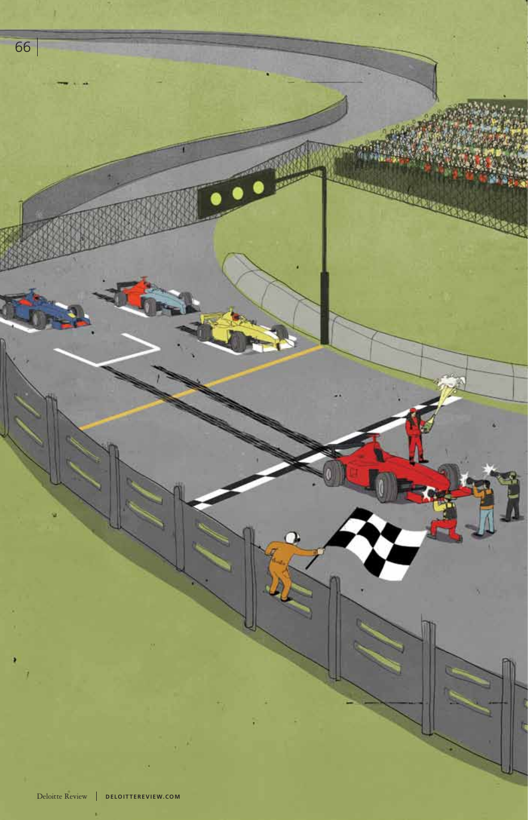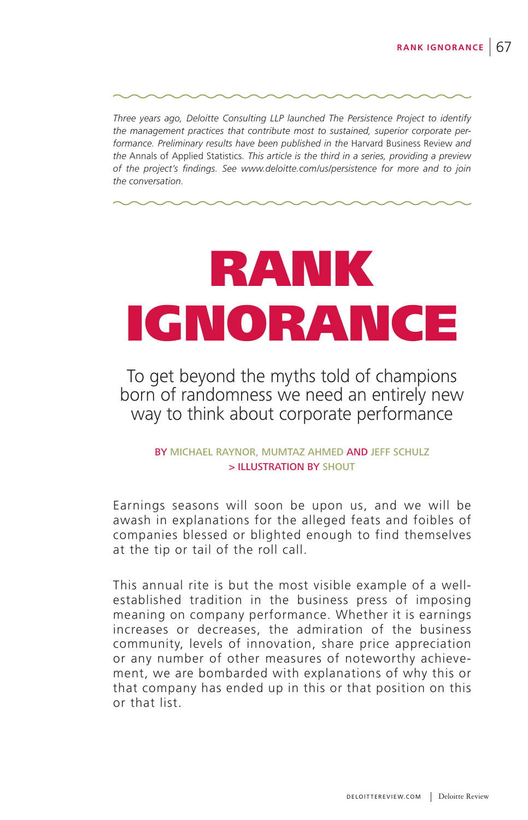*Three years ago, Deloitte Consulting LLP launched The Persistence Project to identify the management practices that contribute most to sustained, superior corporate performance. Preliminary results have been published in the* Harvard Business Review *and the* Annals of Applied Statistics*. This article is the third in a series, providing a preview of the project's findings. See www.deloitte.com/us/persistence for more and to join the conversation.*

# rank ignorance

To get beyond the myths told of champions born of randomness we need an entirely new way to think about corporate performance

> by Michael Raynor, Mumtaz Ahmed AND Jeff schulz > Illustration by SHOUT

Earnings seasons will soon be upon us, and we will be awash in explanations for the alleged feats and foibles of companies blessed or blighted enough to find themselves at the tip or tail of the roll call.

This annual rite is but the most visible example of a wellestablished tradition in the business press of imposing meaning on company performance. Whether it is earnings increases or decreases, the admiration of the business community, levels of innovation, share price appreciation or any number of other measures of noteworthy achievement, we are bombarded with explanations of why this or that company has ended up in this or that position on this or that list.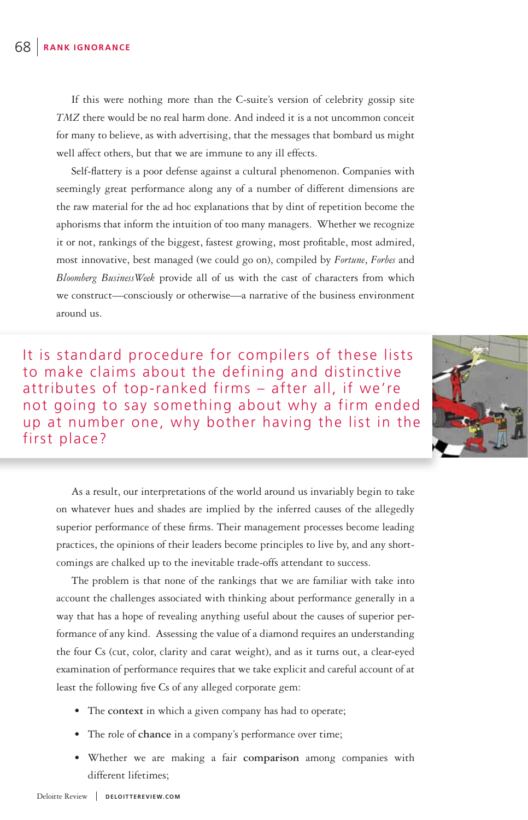If this were nothing more than the C-suite's version of celebrity gossip site *TMZ* there would be no real harm done. And indeed it is a not uncommon conceit for many to believe, as with advertising, that the messages that bombard us might well affect others, but that we are immune to any ill effects.

Self-flattery is a poor defense against a cultural phenomenon. Companies with seemingly great performance along any of a number of different dimensions are the raw material for the ad hoc explanations that by dint of repetition become the aphorisms that inform the intuition of too many managers. Whether we recognize it or not, rankings of the biggest, fastest growing, most profitable, most admired, most innovative, best managed (we could go on), compiled by *Fortune*, *Forbes* and *Bloomberg BusinessWeek* provide all of us with the cast of characters from which we construct—consciously or otherwise—a narrative of the business environment around us.

It is standard procedure for compilers of these lists to make claims about the defining and distinctive attributes of top-ranked firms – after all, if we're not going to say something about why a firm ended up at number one, why bother having the list in the first place?



As a result, our interpretations of the world around us invariably begin to take on whatever hues and shades are implied by the inferred causes of the allegedly superior performance of these firms. Their management processes become leading practices, the opinions of their leaders become principles to live by, and any shortcomings are chalked up to the inevitable trade-offs attendant to success.

The problem is that none of the rankings that we are familiar with take into account the challenges associated with thinking about performance generally in a way that has a hope of revealing anything useful about the causes of superior performance of any kind. Assessing the value of a diamond requires an understanding the four Cs (cut, color, clarity and carat weight), and as it turns out, a clear-eyed examination of performance requires that we take explicit and careful account of at least the following five Cs of any alleged corporate gem:

- The **context** in which a given company has had to operate;
- The role of **chance** in a company's performance over time;
- Whether we are making a fair **comparison** among companies with different lifetimes;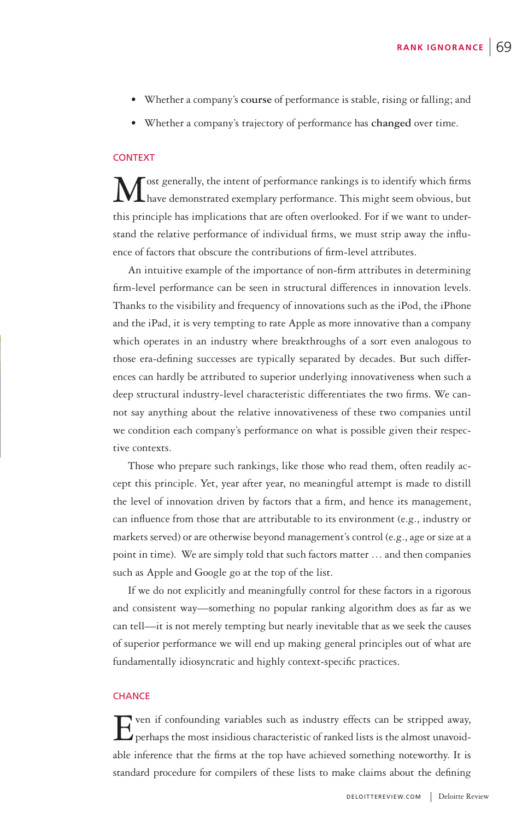- Whether a company's **course** of performance is stable, rising or falling; and
- Whether a company's trajectory of performance has **changed** over time.

# **CONTEXT**

ost generally, the intent of performance rankings is to identify which firms have demonstrated exemplary performance. This might seem obvious, but this principle has implications that are often overlooked. For if we want to understand the relative performance of individual firms, we must strip away the influence of factors that obscure the contributions of firm-level attributes.

An intuitive example of the importance of non-firm attributes in determining firm-level performance can be seen in structural differences in innovation levels. Thanks to the visibility and frequency of innovations such as the iPod, the iPhone and the iPad, it is very tempting to rate Apple as more innovative than a company which operates in an industry where breakthroughs of a sort even analogous to those era-defining successes are typically separated by decades. But such differences can hardly be attributed to superior underlying innovativeness when such a deep structural industry-level characteristic differentiates the two firms. We cannot say anything about the relative innovativeness of these two companies until we condition each company's performance on what is possible given their respective contexts.

Those who prepare such rankings, like those who read them, often readily accept this principle. Yet, year after year, no meaningful attempt is made to distill the level of innovation driven by factors that a firm, and hence its management, can influence from those that are attributable to its environment (e.g., industry or markets served) or are otherwise beyond management's control (e.g., age or size at a point in time). We are simply told that such factors matter … and then companies such as Apple and Google go at the top of the list.

If we do not explicitly and meaningfully control for these factors in a rigorous and consistent way—something no popular ranking algorithm does as far as we can tell—it is not merely tempting but nearly inevitable that as we seek the causes of superior performance we will end up making general principles out of what are fundamentally idiosyncratic and highly context-specific practices.

# **CHANCE**

Even if confounding variables such as industry effects can be stripped away,  $\mathcal I$  perhaps the most insidious characteristic of ranked lists is the almost unavoidable inference that the firms at the top have achieved something noteworthy. It is standard procedure for compilers of these lists to make claims about the defining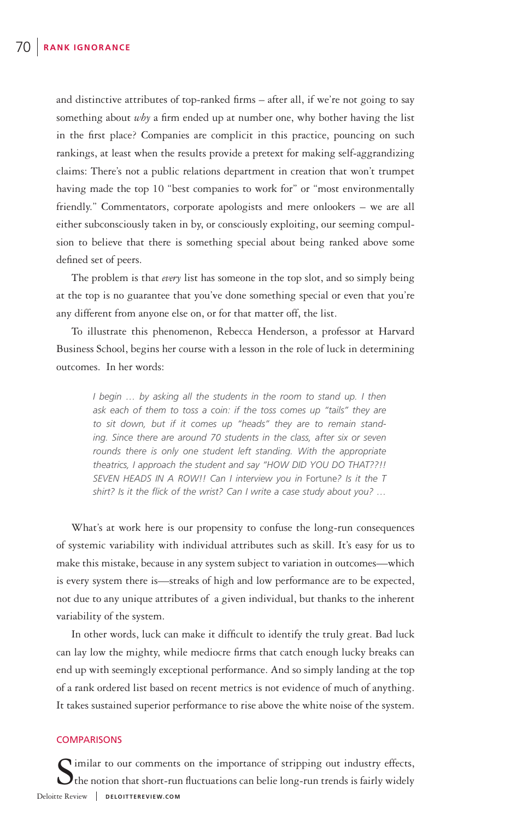and distinctive attributes of top-ranked firms – after all, if we're not going to say something about *why* a firm ended up at number one, why bother having the list in the first place? Companies are complicit in this practice, pouncing on such rankings, at least when the results provide a pretext for making self-aggrandizing claims: There's not a public relations department in creation that won't trumpet having made the top 10 "best companies to work for" or "most environmentally friendly." Commentators, corporate apologists and mere onlookers – we are all either subconsciously taken in by, or consciously exploiting, our seeming compulsion to believe that there is something special about being ranked above some defined set of peers.

The problem is that *every* list has someone in the top slot, and so simply being at the top is no guarantee that you've done something special or even that you're any different from anyone else on, or for that matter off, the list.

To illustrate this phenomenon, Rebecca Henderson, a professor at Harvard Business School, begins her course with a lesson in the role of luck in determining outcomes. In her words:

*I begin ... by asking all the students in the room to stand up. I then ask each of them to toss a coin: if the toss comes up "tails" they are to sit down, but if it comes up "heads" they are to remain standing. Since there are around 70 students in the class, after six or seven*  rounds there is only one student left standing. With the appropriate *theatrics, I approach the student and say "HOW DID YOU DO THAT??!! SEVEN HEADS IN A ROW!! Can I interview you in* Fortune*? Is it the T shirt? Is it the flick of the wrist? Can I write a case study about you? …*

What's at work here is our propensity to confuse the long-run consequences of systemic variability with individual attributes such as skill. It's easy for us to make this mistake, because in any system subject to variation in outcomes—which is every system there is—streaks of high and low performance are to be expected, not due to any unique attributes of a given individual, but thanks to the inherent variability of the system.

In other words, luck can make it difficult to identify the truly great. Bad luck can lay low the mighty, while mediocre firms that catch enough lucky breaks can end up with seemingly exceptional performance. And so simply landing at the top of a rank ordered list based on recent metrics is not evidence of much of anything. It takes sustained superior performance to rise above the white noise of the system.

### **COMPARISONS**

Deloitte Review | DELOITTEREVIEW.COM  $\bigcap$  imilar to our comments on the importance of stripping out industry effects,  $\bigcup$  the notion that short-run fluctuations can belie long-run trends is fairly widely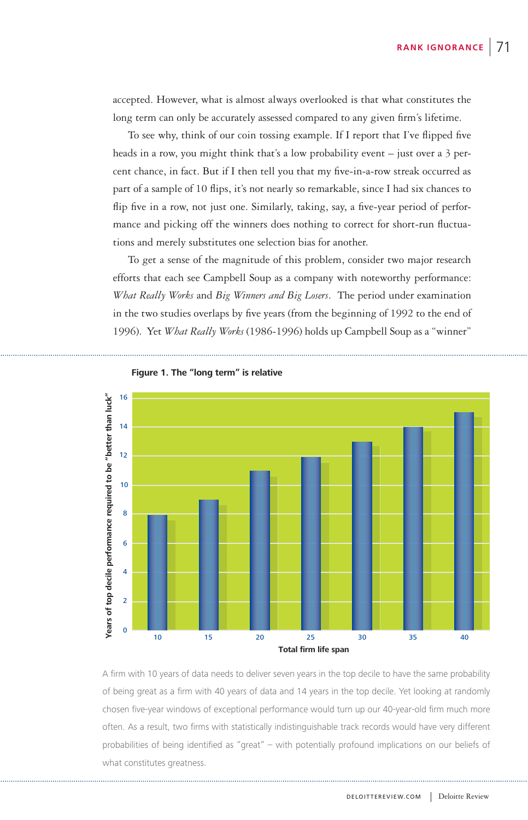accepted. However, what is almost always overlooked is that what constitutes the long term can only be accurately assessed compared to any given firm's lifetime.

To see why, think of our coin tossing example. If I report that I've flipped five heads in a row, you might think that's a low probability event – just over a 3 percent chance, in fact. But if I then tell you that my five-in-a-row streak occurred as part of a sample of 10 flips, it's not nearly so remarkable, since I had six chances to flip five in a row, not just one. Similarly, taking, say, a five-year period of performance and picking off the winners does nothing to correct for short-run fluctuations and merely substitutes one selection bias for another.

To get a sense of the magnitude of this problem, consider two major research efforts that each see Campbell Soup as a company with noteworthy performance: *What Really Works* and *Big Winners and Big Losers*. The period under examination in the two studies overlaps by five years (from the beginning of 1992 to the end of 1996). Yet *What Really Works* (1986-1996) holds up Campbell Soup as a "winner"



**Figure 1. The "long term" is relative**

A firm with 10 years of data needs to deliver seven years in the top decile to have the same probability of being great as a firm with 40 years of data and 14 years in the top decile. Yet looking at randomly chosen five-year windows of exceptional performance would turn up our 40-year-old firm much more often. As a result, two firms with statistically indistinguishable track records would have very different probabilities of being identified as "great" – with potentially profound implications on our beliefs of what constitutes greatness.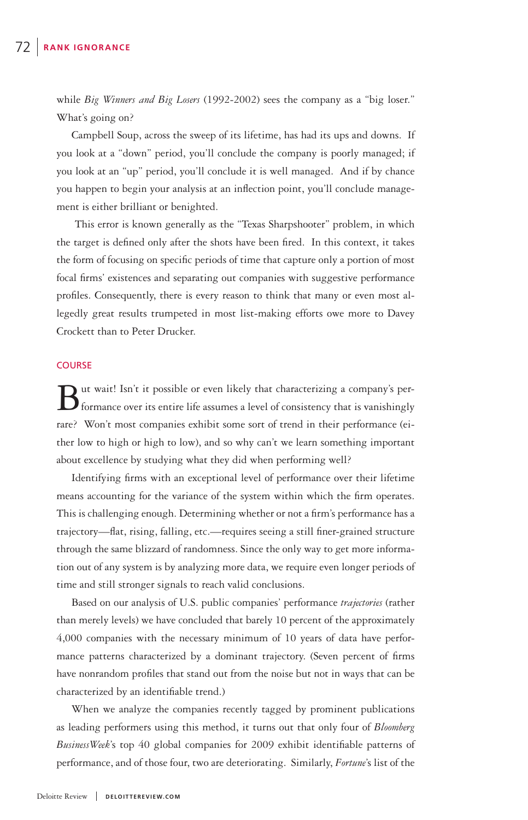while *Big Winners and Big Losers* (1992-2002) sees the company as a "big loser." What's going on?

Campbell Soup, across the sweep of its lifetime, has had its ups and downs. If you look at a "down" period, you'll conclude the company is poorly managed; if you look at an "up" period, you'll conclude it is well managed. And if by chance you happen to begin your analysis at an inflection point, you'll conclude management is either brilliant or benighted.

 This error is known generally as the "Texas Sharpshooter" problem, in which the target is defined only after the shots have been fired. In this context, it takes the form of focusing on specific periods of time that capture only a portion of most focal firms' existences and separating out companies with suggestive performance profiles. Consequently, there is every reason to think that many or even most allegedly great results trumpeted in most list-making efforts owe more to Davey Crockett than to Peter Drucker.

### **COURSE**

It wait! Isn't it possible or even likely that characterizing a company's performance over its entire life assumes a level of consistency that is vanishingly rare? Won't most companies exhibit some sort of trend in their performance (either low to high or high to low), and so why can't we learn something important about excellence by studying what they did when performing well?

Identifying firms with an exceptional level of performance over their lifetime means accounting for the variance of the system within which the firm operates. This is challenging enough. Determining whether or not a firm's performance has a trajectory—flat, rising, falling, etc.—requires seeing a still finer-grained structure through the same blizzard of randomness. Since the only way to get more information out of any system is by analyzing more data, we require even longer periods of time and still stronger signals to reach valid conclusions.

Based on our analysis of U.S. public companies' performance *trajectories* (rather than merely levels) we have concluded that barely 10 percent of the approximately 4,000 companies with the necessary minimum of 10 years of data have performance patterns characterized by a dominant trajectory. (Seven percent of firms have nonrandom profiles that stand out from the noise but not in ways that can be characterized by an identifiable trend.)

When we analyze the companies recently tagged by prominent publications as leading performers using this method, it turns out that only four of *Bloomberg BusinessWeek*'s top 40 global companies for 2009 exhibit identifiable patterns of performance, and of those four, two are deteriorating. Similarly, *Fortune*'s list of the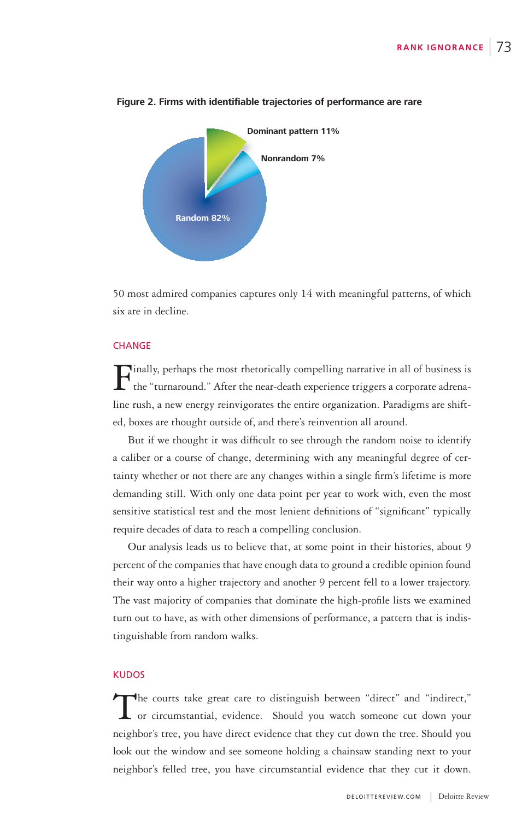

### **Figure 2. Firms with identifiable trajectories of performance are rare**

50 most admired companies captures only 14 with meaningful patterns, of which six are in decline.

# **CHANGE**

Finally, perhaps the most rhetorically compelling narrative in all of business is the "turnaround." After the near-death experience triggers a corporate adrenaline rush, a new energy reinvigorates the entire organization. Paradigms are shifted, boxes are thought outside of, and there's reinvention all around.

But if we thought it was difficult to see through the random noise to identify a caliber or a course of change, determining with any meaningful degree of certainty whether or not there are any changes within a single firm's lifetime is more demanding still. With only one data point per year to work with, even the most sensitive statistical test and the most lenient definitions of "significant" typically require decades of data to reach a compelling conclusion.

Our analysis leads us to believe that, at some point in their histories, about 9 percent of the companies that have enough data to ground a credible opinion found their way onto a higher trajectory and another 9 percent fell to a lower trajectory. The vast majority of companies that dominate the high-profile lists we examined turn out to have, as with other dimensions of performance, a pattern that is indistinguishable from random walks.

# **KUDOS**

The courts take great care to distinguish between "direct" and "indirect," or circumstantial, evidence. Should you watch someone cut down your neighbor's tree, you have direct evidence that they cut down the tree. Should you look out the window and see someone holding a chainsaw standing next to your neighbor's felled tree, you have circumstantial evidence that they cut it down.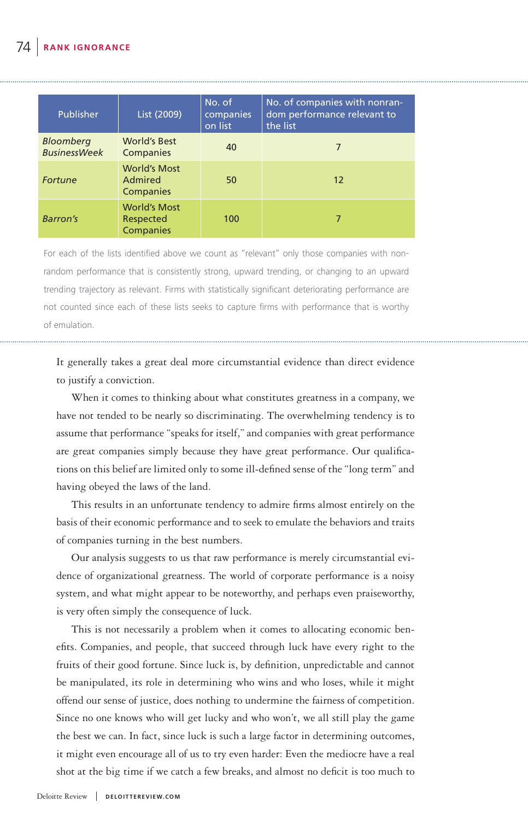| <b>Publisher</b>                        | List (2009)                                   | No. of<br>companies<br>on list | No. of companies with nonran-<br>dom performance relevant to<br>the list |
|-----------------------------------------|-----------------------------------------------|--------------------------------|--------------------------------------------------------------------------|
| <b>Bloomberg</b><br><b>BusinessWeek</b> | <b>World's Best</b><br>Companies              | 40                             | 7                                                                        |
| Fortune                                 | <b>World's Most</b><br>Admired<br>Companies   | 50                             | 12                                                                       |
| <b>Barron's</b>                         | <b>World's Most</b><br>Respected<br>Companies | 100                            | 7                                                                        |

For each of the lists identified above we count as "relevant" only those companies with nonrandom performance that is consistently strong, upward trending, or changing to an upward trending trajectory as relevant. Firms with statistically significant deteriorating performance are not counted since each of these lists seeks to capture firms with performance that is worthy of emulation.

It generally takes a great deal more circumstantial evidence than direct evidence to justify a conviction.

When it comes to thinking about what constitutes greatness in a company, we have not tended to be nearly so discriminating. The overwhelming tendency is to assume that performance "speaks for itself," and companies with great performance are great companies simply because they have great performance. Our qualifications on this belief are limited only to some ill-defined sense of the "long term" and having obeyed the laws of the land.

This results in an unfortunate tendency to admire firms almost entirely on the basis of their economic performance and to seek to emulate the behaviors and traits of companies turning in the best numbers.

Our analysis suggests to us that raw performance is merely circumstantial evidence of organizational greatness. The world of corporate performance is a noisy system, and what might appear to be noteworthy, and perhaps even praiseworthy, is very often simply the consequence of luck.

This is not necessarily a problem when it comes to allocating economic benefits. Companies, and people, that succeed through luck have every right to the fruits of their good fortune. Since luck is, by definition, unpredictable and cannot be manipulated, its role in determining who wins and who loses, while it might offend our sense of justice, does nothing to undermine the fairness of competition. Since no one knows who will get lucky and who won't, we all still play the game the best we can. In fact, since luck is such a large factor in determining outcomes, it might even encourage all of us to try even harder: Even the mediocre have a real shot at the big time if we catch a few breaks, and almost no deficit is too much to